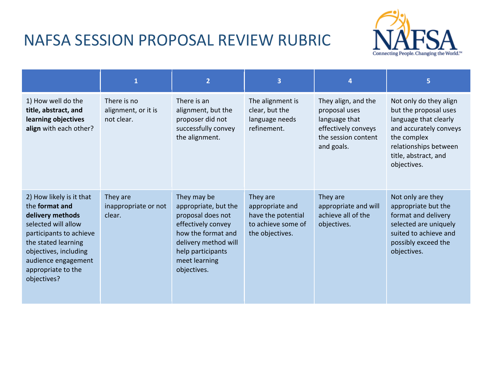## NAFSA SESSION PROPOSAL REVIEW RUBRIC



|                                                                                                                                                                                                                              | $\mathbf{1}$                                     | $\overline{2}$                                                                                                                                                                    | $\overline{3}$                                                                             | 4                                                                                                                 | 5                                                                                                                                                                                 |
|------------------------------------------------------------------------------------------------------------------------------------------------------------------------------------------------------------------------------|--------------------------------------------------|-----------------------------------------------------------------------------------------------------------------------------------------------------------------------------------|--------------------------------------------------------------------------------------------|-------------------------------------------------------------------------------------------------------------------|-----------------------------------------------------------------------------------------------------------------------------------------------------------------------------------|
| 1) How well do the<br>title, abstract, and<br>learning objectives<br>align with each other?                                                                                                                                  | There is no<br>alignment, or it is<br>not clear. | There is an<br>alignment, but the<br>proposer did not<br>successfully convey<br>the alignment.                                                                                    | The alignment is<br>clear, but the<br>language needs<br>refinement.                        | They align, and the<br>proposal uses<br>language that<br>effectively conveys<br>the session content<br>and goals. | Not only do they align<br>but the proposal uses<br>language that clearly<br>and accurately conveys<br>the complex<br>relationships between<br>title, abstract, and<br>objectives. |
| 2) How likely is it that<br>the format and<br>delivery methods<br>selected will allow<br>participants to achieve<br>the stated learning<br>objectives, including<br>audience engagement<br>appropriate to the<br>objectives? | They are<br>inappropriate or not<br>clear.       | They may be<br>appropriate, but the<br>proposal does not<br>effectively convey<br>how the format and<br>delivery method will<br>help participants<br>meet learning<br>objectives. | They are<br>appropriate and<br>have the potential<br>to achieve some of<br>the objectives. | They are<br>appropriate and will<br>achieve all of the<br>objectives.                                             | Not only are they<br>appropriate but the<br>format and delivery<br>selected are uniquely<br>suited to achieve and<br>possibly exceed the<br>objectives.                           |